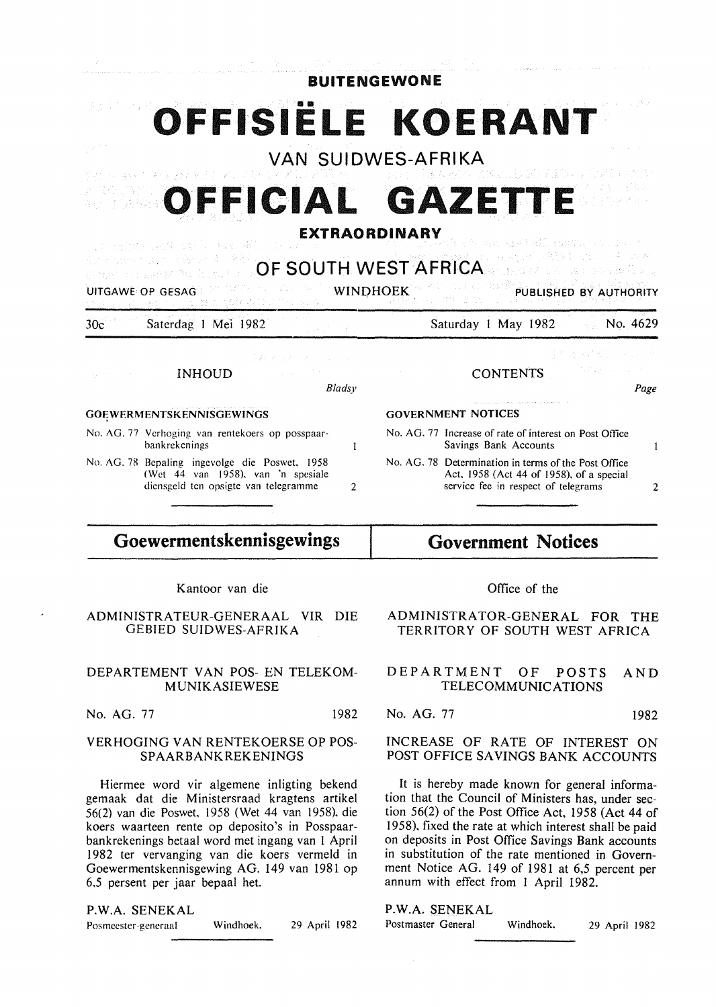| <b>BUITENGEWONE</b>                                                                                                                            |                                                                                                                                                  |
|------------------------------------------------------------------------------------------------------------------------------------------------|--------------------------------------------------------------------------------------------------------------------------------------------------|
|                                                                                                                                                | OFFISIËLE KOERANT<br><b>VAN SUIDWES-AFRIKA</b>                                                                                                   |
|                                                                                                                                                | OFFICIAL GAZETTE<br><b>EXTRAORDINARY</b>                                                                                                         |
| 计无线路 医海绵 医细胞的 电调节器 计自动<br><b>UITGAWE OP GESAG</b><br>Saterdag 1 Mei 1982<br>30 <sub>c</sub>                                                    | 見速 和銀節 おおなに つかいまくい<br>그 현황님은 나도 아프로 들어 채<br>OF SOUTH WEST AFRICA<br><b>WINDHOEK</b><br>PUBLISHED BY AUTHORITY<br>Saturday 1 May 1982<br>No. 4629 |
|                                                                                                                                                |                                                                                                                                                  |
| <b>INHOUD</b><br>Bladsy                                                                                                                        | <b>CONTENTS</b><br>Page                                                                                                                          |
| <b>GOEWERMENTSKENNISGEWINGS</b>                                                                                                                | <b>GOVERNMENT NOTICES</b>                                                                                                                        |
| No. AG. 77 Verhoging van rentekoers op posspaar-<br>bankrekenings<br>1                                                                         | No. AG. 77 Increase of rate of interest on Post Office<br>Savings Bank Accounts<br>Ŧ                                                             |
| No. AG. 78 Bepaling ingevolge die Poswet, 1958<br>(Wet 44 van 1958), van 'n spesiale<br>diensgeld ten opsigte van telegramme<br>$\overline{2}$ | No. AG. 78 Determination in terms of the Post Office<br>Act, 1958 (Act 44 of 1958), of a special<br>service fee in respect of telegrams<br>2     |
|                                                                                                                                                |                                                                                                                                                  |

Kantoor van die

ADMINISTRA TEUR-GENERAAL VIR DIE GEBIED SUIDWES-AFRIKA

# DEPARTEMENT VAN POS- EN TELEKOM-MUNIKASIEWESE

No. AG. 77 1982

### VERHOGING VAN RENTEKOERSE OP POS-SPAARBANKREKENINGS

Hiermee word vir algemene inligting bekend gemaak dat die Ministersraad kragtens artikel 56(2) van die Poswet, 1958 (Wet 44 van 1958), die koers waarteen rente op deposito's in Posspaarbankrekenings betaal word met ingang van I April 1982 ter vervanging van die koers vermeld in Goewermentskennisgewing AG. 149 van 1981 op 6,5 persent per jaar bepaal het.

P.W.A. SENEKAL

Posmeester-generaal Windhoek, 29 April 1982

Office of the

#### ADMINISTRATOR-GENERAL FOR THE TERRITORY OF SOUTH WEST AFRICA

### DEPARTMENT OF POSTS AND TELECOMMUNICATIONS

No. AG. 77 1982

# INCREASE OF RATE OF INTEREST ON POST OFFICE SAVINGS BANK ACCOUNTS

It is hereby made known for general information that the Council of Ministers has, under section 56(2) of the Post Office Act, 1958 (Act 44 of 1958), fixed the rate at which interest shall be paid on deposits in Post Office Savings Bank accounts in substitution of the rate mentioned in Government Notice AG. 149 of 1981 at 6,5 percent per annum with effect from 1 April 1982.

P.W.A. SENEKAL

Postmaster General Windhoek. 29 April 1982